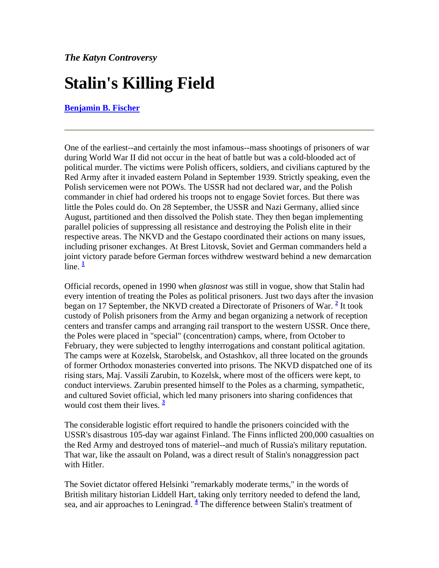# **Stalin's Killing Field**

**[Benjamin B. Fischer](http://www.odci.gov/csi/studies/winter99-00/art6.html#rft0#rft0)**

One of the earliest--and certainly the most infamous--mass shootings of prisoners of war during World War II did not occur in the heat of battle but was a cold-blooded act of political murder. The victims were Polish officers, soldiers, and civilians captured by the Red Army after it invaded eastern Poland in September 1939. Strictly speaking, even the Polish servicemen were not POWs. The USSR had not declared war, and the Polish commander in chief had ordered his troops not to engage Soviet forces. But there was little the Poles could do. On 28 September, the USSR and Nazi Germany, allied since August, partitioned and then dissolved the Polish state. They then began implementing parallel policies of suppressing all resistance and destroying the Polish elite in their respective areas. The NKVD and the Gestapo coordinated their actions on many issues, including prisoner exchanges. At Brest Litovsk, Soviet and German commanders held a joint victory parade before German forces withdrew westward behind a new demarcation  $\lim_{h \to 0} \frac{1}{h}$  $\lim_{h \to 0} \frac{1}{h}$  $\lim_{h \to 0} \frac{1}{h}$ 

Official records, opened in 1990 when *glasnost* was still in vogue, show that Stalin had every intention of treating the Poles as political prisoners. Just two days after the invasion began on 17 September, the NKVD created a Directorate of Prisoners of War. <sup>[2](http://www.odci.gov/csi/studies/winter99-00/art6.html#rft2#rft2)</sup> It took custody of Polish prisoners from the Army and began organizing a network of reception centers and transfer camps and arranging rail transport to the western USSR. Once there, the Poles were placed in "special" (concentration) camps, where, from October to February, they were subjected to lengthy interrogations and constant political agitation. The camps were at Kozelsk, Starobelsk, and Ostashkov, all three located on the grounds of former Orthodox monasteries converted into prisons. The NKVD dispatched one of its rising stars, Maj. Vassili Zarubin, to Kozelsk, where most of the officers were kept, to conduct interviews. Zarubin presented himself to the Poles as a charming, sympathetic, and cultured Soviet official, which led many prisoners into sharing confidences that would cost them their lives. **[3](http://www.odci.gov/csi/studies/winter99-00/art6.html#rft3#rft3)**

The considerable logistic effort required to handle the prisoners coincided with the USSR's disastrous 105-day war against Finland. The Finns inflicted 200,000 casualties on the Red Army and destroyed tons of materiel--and much of Russia's military reputation. That war, like the assault on Poland, was a direct result of Stalin's nonaggression pact with Hitler.

The Soviet dictator offered Helsinki "remarkably moderate terms," in the words of British military historian Liddell Hart, taking only territory needed to defend the land, sea, and air approaches to Leningrad. <sup>[4](http://www.odci.gov/csi/studies/winter99-00/art6.html#rft4#rft4)</sup> The difference between Stalin's treatment of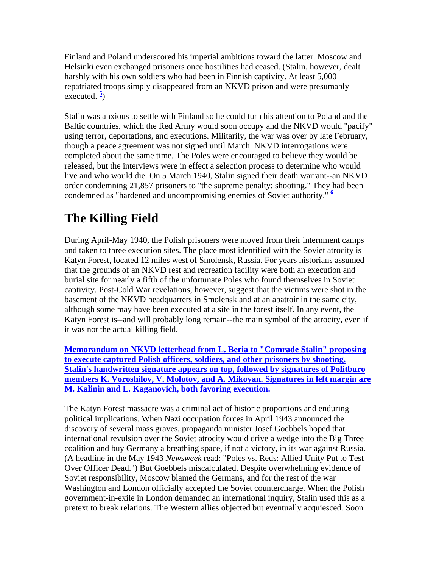Finland and Poland underscored his imperial ambitions toward the latter. Moscow and Helsinki even exchanged prisoners once hostilities had ceased. (Stalin, however, dealt harshly with his own soldiers who had been in Finnish captivity. At least 5,000 repatriated troops simply disappeared from an NKVD prison and were presumably executed.  $\frac{5}{2}$  $\frac{5}{2}$  $\frac{5}{2}$ 

Stalin was anxious to settle with Finland so he could turn his attention to Poland and the Baltic countries, which the Red Army would soon occupy and the NKVD would "pacify" using terror, deportations, and executions. Militarily, the war was over by late February, though a peace agreement was not signed until March. NKVD interrogations were completed about the same time. The Poles were encouraged to believe they would be released, but the interviews were in effect a selection process to determine who would live and who would die. On 5 March 1940, Stalin signed their death warrant--an NKVD order condemning 21,857 prisoners to "the supreme penalty: shooting." They had been condemned as "hardened and uncompromising enemies of Soviet authority." **[6](http://www.odci.gov/csi/studies/winter99-00/art6.html#rft6#rft6)**

## **The Killing Field**

During April-May 1940, the Polish prisoners were moved from their internment camps and taken to three execution sites. The place most identified with the Soviet atrocity is Katyn Forest, located 12 miles west of Smolensk, Russia. For years historians assumed that the grounds of an NKVD rest and recreation facility were both an execution and burial site for nearly a fifth of the unfortunate Poles who found themselves in Soviet captivity. Post-Cold War revelations, however, suggest that the victims were shot in the basement of the NKVD headquarters in Smolensk and at an abattoir in the same city, although some may have been executed at a site in the forest itself. In any event, the Katyn Forest is--and will probably long remain--the main symbol of the atrocity, even if it was not the actual killing field.

**[Memorandum on NKVD letterhead from L. Beria to "Comrade Stalin" proposing](http://www.odci.gov/csi/studies/winter99-00/pg62.gif)  [to execute captured Polish officers, soldiers, and other prisoners by shooting.](http://www.odci.gov/csi/studies/winter99-00/pg62.gif)  [Stalin's handwritten signature appears on top, followed by signatures of Politburo](http://www.odci.gov/csi/studies/winter99-00/pg62.gif)  [members K. Voroshilov, V. Molotov, and A. Mikoyan. Signatures in left margin are](http://www.odci.gov/csi/studies/winter99-00/pg62.gif)  [M. Kalinin and L. Kaganovich, both favoring execution.](http://www.odci.gov/csi/studies/winter99-00/pg62.gif)** 

The Katyn Forest massacre was a criminal act of historic proportions and enduring political implications. When Nazi occupation forces in April 1943 announced the discovery of several mass graves, propaganda minister Josef Goebbels hoped that international revulsion over the Soviet atrocity would drive a wedge into the Big Three coalition and buy Germany a breathing space, if not a victory, in its war against Russia. (A headline in the May 1943 *Newsweek* read: "Poles vs. Reds: Allied Unity Put to Test Over Officer Dead.") But Goebbels miscalculated. Despite overwhelming evidence of Soviet responsibility, Moscow blamed the Germans, and for the rest of the war Washington and London officially accepted the Soviet countercharge. When the Polish government-in-exile in London demanded an international inquiry, Stalin used this as a pretext to break relations. The Western allies objected but eventually acquiesced. Soon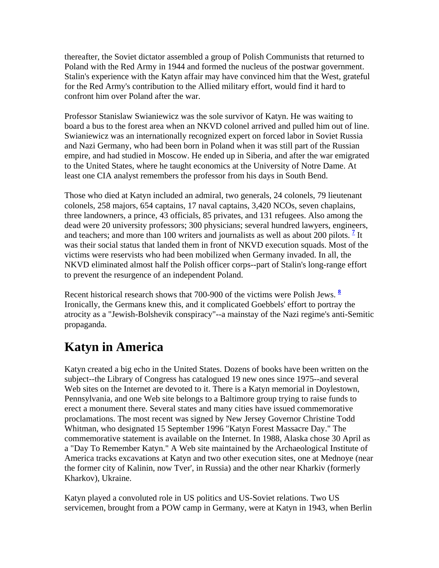thereafter, the Soviet dictator assembled a group of Polish Communists that returned to Poland with the Red Army in 1944 and formed the nucleus of the postwar government. Stalin's experience with the Katyn affair may have convinced him that the West, grateful for the Red Army's contribution to the Allied military effort, would find it hard to confront him over Poland after the war.

Professor Stanislaw Swianiewicz was the sole survivor of Katyn. He was waiting to board a bus to the forest area when an NKVD colonel arrived and pulled him out of line. Swianiewicz was an internationally recognized expert on forced labor in Soviet Russia and Nazi Germany, who had been born in Poland when it was still part of the Russian empire, and had studied in Moscow. He ended up in Siberia, and after the war emigrated to the United States, where he taught economics at the University of Notre Dame. At least one CIA analyst remembers the professor from his days in South Bend.

Those who died at Katyn included an admiral, two generals, 24 colonels, 79 lieutenant colonels, 258 majors, 654 captains, 17 naval captains, 3,420 NCOs, seven chaplains, three landowners, a prince, 43 officials, 85 privates, and 131 refugees. Also among the dead were 20 university professors; 300 physicians; several hundred lawyers, engineers, and teachers; and more than 100 writers and journalists as well as about 200 pilots.  $\frac{7}{1}$  $\frac{7}{1}$  $\frac{7}{1}$  It was their social status that landed them in front of NKVD execution squads. Most of the victims were reservists who had been mobilized when Germany invaded. In all, the NKVD eliminated almost half the Polish officer corps--part of Stalin's long-range effort to prevent the resurgence of an independent Poland.

Recent historical research shows that 700-900 of the victims were Polish Jews. **[8](http://www.odci.gov/csi/studies/winter99-00/art6.html#rft8#rft8)** Ironically, the Germans knew this, and it complicated Goebbels' effort to portray the atrocity as a "Jewish-Bolshevik conspiracy"--a mainstay of the Nazi regime's anti-Semitic propaganda.

### **Katyn in America**

Katyn created a big echo in the United States. Dozens of books have been written on the subject--the Library of Congress has catalogued 19 new ones since 1975--and several Web sites on the Internet are devoted to it. There is a Katyn memorial in Doylestown, Pennsylvania, and one Web site belongs to a Baltimore group trying to raise funds to erect a monument there. Several states and many cities have issued commemorative proclamations. The most recent was signed by New Jersey Governor Christine Todd Whitman, who designated 15 September 1996 "Katyn Forest Massacre Day." The commemorative statement is available on the Internet. In 1988, Alaska chose 30 April as a "Day To Remember Katyn." A Web site maintained by the Archaeological Institute of America tracks excavations at Katyn and two other execution sites, one at Mednoye (near the former city of Kalinin, now Tver', in Russia) and the other near Kharkiv (formerly Kharkov), Ukraine.

Katyn played a convoluted role in US politics and US-Soviet relations. Two US servicemen, brought from a POW camp in Germany, were at Katyn in 1943, when Berlin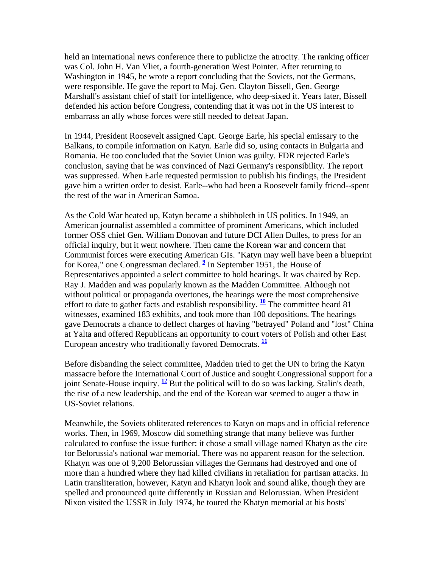held an international news conference there to publicize the atrocity. The ranking officer was Col. John H. Van Vliet, a fourth-generation West Pointer. After returning to Washington in 1945, he wrote a report concluding that the Soviets, not the Germans, were responsible. He gave the report to Maj. Gen. Clayton Bissell, Gen. George Marshall's assistant chief of staff for intelligence, who deep-sixed it. Years later, Bissell defended his action before Congress, contending that it was not in the US interest to embarrass an ally whose forces were still needed to defeat Japan.

In 1944, President Roosevelt assigned Capt. George Earle, his special emissary to the Balkans, to compile information on Katyn. Earle did so, using contacts in Bulgaria and Romania. He too concluded that the Soviet Union was guilty. FDR rejected Earle's conclusion, saying that he was convinced of Nazi Germany's responsibility. The report was suppressed. When Earle requested permission to publish his findings, the President gave him a written order to desist. Earle--who had been a Roosevelt family friend--spent the rest of the war in American Samoa.

As the Cold War heated up, Katyn became a shibboleth in US politics. In 1949, an American journalist assembled a committee of prominent Americans, which included former OSS chief Gen. William Donovan and future DCI Allen Dulles, to press for an official inquiry, but it went nowhere. Then came the Korean war and concern that Communist forces were executing American GIs. "Katyn may well have been a blueprint for Korea," one Congressman declared. **[9](http://www.odci.gov/csi/studies/winter99-00/art6.html#rft9#rft9)** In September 1951, the House of Representatives appointed a select committee to hold hearings. It was chaired by Rep. Ray J. Madden and was popularly known as the Madden Committee. Although not without political or propaganda overtones, the hearings were the most comprehensive effort to date to gather facts and establish responsibility.  $\frac{10}{2}$  $\frac{10}{2}$  $\frac{10}{2}$  The committee heard 81 witnesses, examined 183 exhibits, and took more than 100 depositions. The hearings gave Democrats a chance to deflect charges of having "betrayed" Poland and "lost" China at Yalta and offered Republicans an opportunity to court voters of Polish and other East European ancestry who traditionally favored Democrats. **[11](http://www.odci.gov/csi/studies/winter99-00/art6.html#rft11#rft11)**

Before disbanding the select committee, Madden tried to get the UN to bring the Katyn massacre before the International Court of Justice and sought Congressional support for a joint Senate-House inquiry.  $\frac{12}{12}$  $\frac{12}{12}$  $\frac{12}{12}$  But the political will to do so was lacking. Stalin's death, the rise of a new leadership, and the end of the Korean war seemed to auger a thaw in US-Soviet relations.

Meanwhile, the Soviets obliterated references to Katyn on maps and in official reference works. Then, in 1969, Moscow did something strange that many believe was further calculated to confuse the issue further: it chose a small village named Khatyn as the cite for Belorussia's national war memorial. There was no apparent reason for the selection. Khatyn was one of 9,200 Belorussian villages the Germans had destroyed and one of more than a hundred where they had killed civilians in retaliation for partisan attacks. In Latin transliteration, however, Katyn and Khatyn look and sound alike, though they are spelled and pronounced quite differently in Russian and Belorussian. When President Nixon visited the USSR in July 1974, he toured the Khatyn memorial at his hosts'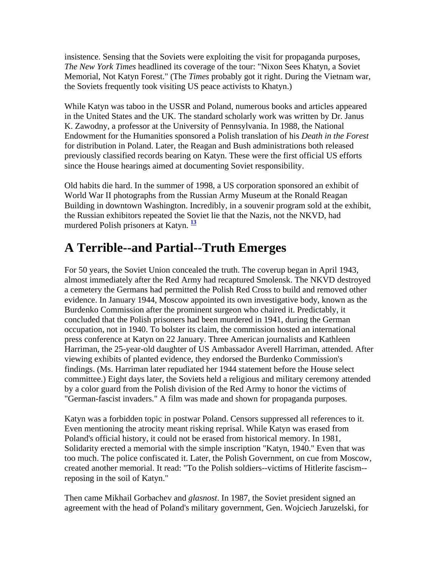insistence. Sensing that the Soviets were exploiting the visit for propaganda purposes, *The New York Times* headlined its coverage of the tour: "Nixon Sees Khatyn, a Soviet Memorial, Not Katyn Forest." (The *Times* probably got it right. During the Vietnam war, the Soviets frequently took visiting US peace activists to Khatyn.)

While Katyn was taboo in the USSR and Poland, numerous books and articles appeared in the United States and the UK. The standard scholarly work was written by Dr. Janus K. Zawodny, a professor at the University of Pennsylvania. In 1988, the National Endowment for the Humanities sponsored a Polish translation of his *Death in the Forest* for distribution in Poland. Later, the Reagan and Bush administrations both released previously classified records bearing on Katyn. These were the first official US efforts since the House hearings aimed at documenting Soviet responsibility.

Old habits die hard. In the summer of 1998, a US corporation sponsored an exhibit of World War II photographs from the Russian Army Museum at the Ronald Reagan Building in downtown Washington. Incredibly, in a souvenir program sold at the exhibit, the Russian exhibitors repeated the Soviet lie that the Nazis, not the NKVD, had murdered Polish prisoners at Katyn. **[13](http://www.odci.gov/csi/studies/winter99-00/art6.html#rft13#rft13)**

### **A Terrible--and Partial--Truth Emerges**

For 50 years, the Soviet Union concealed the truth. The coverup began in April 1943, almost immediately after the Red Army had recaptured Smolensk. The NKVD destroyed a cemetery the Germans had permitted the Polish Red Cross to build and removed other evidence. In January 1944, Moscow appointed its own investigative body, known as the Burdenko Commission after the prominent surgeon who chaired it. Predictably, it concluded that the Polish prisoners had been murdered in 1941, during the German occupation, not in 1940. To bolster its claim, the commission hosted an international press conference at Katyn on 22 January. Three American journalists and Kathleen Harriman, the 25-year-old daughter of US Ambassador Averell Harriman, attended. After viewing exhibits of planted evidence, they endorsed the Burdenko Commission's findings. (Ms. Harriman later repudiated her 1944 statement before the House select committee.) Eight days later, the Soviets held a religious and military ceremony attended by a color guard from the Polish division of the Red Army to honor the victims of "German-fascist invaders." A film was made and shown for propaganda purposes.

Katyn was a forbidden topic in postwar Poland. Censors suppressed all references to it. Even mentioning the atrocity meant risking reprisal. While Katyn was erased from Poland's official history, it could not be erased from historical memory. In 1981, Solidarity erected a memorial with the simple inscription "Katyn, 1940." Even that was too much. The police confiscated it. Later, the Polish Government, on cue from Moscow, created another memorial. It read: "To the Polish soldiers--victims of Hitlerite fascism- reposing in the soil of Katyn."

Then came Mikhail Gorbachev and *glasnost*. In 1987, the Soviet president signed an agreement with the head of Poland's military government, Gen. Wojciech Jaruzelski, for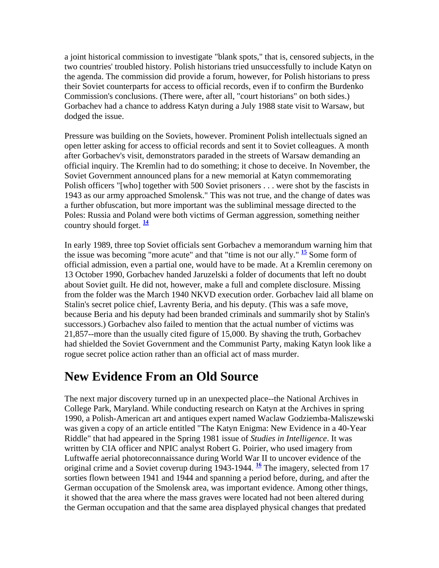a joint historical commission to investigate "blank spots," that is, censored subjects, in the two countries' troubled history. Polish historians tried unsuccessfully to include Katyn on the agenda. The commission did provide a forum, however, for Polish historians to press their Soviet counterparts for access to official records, even if to confirm the Burdenko Commission's conclusions. (There were, after all, "court historians" on both sides.) Gorbachev had a chance to address Katyn during a July 1988 state visit to Warsaw, but dodged the issue.

Pressure was building on the Soviets, however. Prominent Polish intellectuals signed an open letter asking for access to official records and sent it to Soviet colleagues. A month after Gorbachev's visit, demonstrators paraded in the streets of Warsaw demanding an official inquiry. The Kremlin had to do something; it chose to deceive. In November, the Soviet Government announced plans for a new memorial at Katyn commemorating Polish officers "[who] together with 500 Soviet prisoners . . . were shot by the fascists in 1943 as our army approached Smolensk." This was not true, and the change of dates was a further obfuscation, but more important was the subliminal message directed to the Poles: Russia and Poland were both victims of German aggression, something neither country should forget. **[14](http://www.odci.gov/csi/studies/winter99-00/art6.html#rft14#rft14)**

In early 1989, three top Soviet officials sent Gorbachev a memorandum warning him that the issue was becoming "more acute" and that "time is not our ally." **[15](http://www.odci.gov/csi/studies/winter99-00/art6.html#rft15#rft15)** Some form of official admission, even a partial one, would have to be made. At a Kremlin ceremony on 13 October 1990, Gorbachev handed Jaruzelski a folder of documents that left no doubt about Soviet guilt. He did not, however, make a full and complete disclosure. Missing from the folder was the March 1940 NKVD execution order. Gorbachev laid all blame on Stalin's secret police chief, Lavrenty Beria, and his deputy. (This was a safe move, because Beria and his deputy had been branded criminals and summarily shot by Stalin's successors.) Gorbachev also failed to mention that the actual number of victims was 21,857--more than the usually cited figure of 15,000. By shaving the truth, Gorbachev had shielded the Soviet Government and the Communist Party, making Katyn look like a rogue secret police action rather than an official act of mass murder.

### **New Evidence From an Old Source**

The next major discovery turned up in an unexpected place--the National Archives in College Park, Maryland. While conducting research on Katyn at the Archives in spring 1990, a Polish-American art and antiques expert named Waclaw Godziemba-Maliszewski was given a copy of an article entitled "The Katyn Enigma: New Evidence in a 40-Year Riddle" that had appeared in the Spring 1981 issue of *Studies in Intelligence*. It was written by CIA officer and NPIC analyst Robert G. Poirier, who used imagery from Luftwaffe aerial photoreconnaissance during World War II to uncover evidence of the original crime and a Soviet coverup during 1943-1944. <sup>[16](http://www.odci.gov/csi/studies/winter99-00/art6.html#rft16#rft16)</sup> The imagery, selected from 17 sorties flown between 1941 and 1944 and spanning a period before, during, and after the German occupation of the Smolensk area, was important evidence. Among other things, it showed that the area where the mass graves were located had not been altered during the German occupation and that the same area displayed physical changes that predated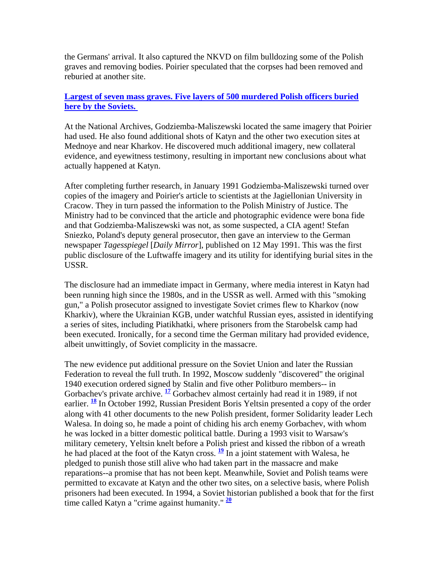the Germans' arrival. It also captured the NKVD on film bulldozing some of the Polish graves and removing bodies. Poirier speculated that the corpses had been removed and reburied at another site.

#### **[Largest of seven mass graves. Five layers of 500 murdered Polish officers buried](http://www.odci.gov/csi/studies/winter99-00/pg66.gif)  [here by the Soviets.](http://www.odci.gov/csi/studies/winter99-00/pg66.gif)**

At the National Archives, Godziemba-Maliszewski located the same imagery that Poirier had used. He also found additional shots of Katyn and the other two execution sites at Mednoye and near Kharkov. He discovered much additional imagery, new collateral evidence, and eyewitness testimony, resulting in important new conclusions about what actually happened at Katyn.

After completing further research, in January 1991 Godziemba-Maliszewski turned over copies of the imagery and Poirier's article to scientists at the Jagiellonian University in Cracow. They in turn passed the information to the Polish Ministry of Justice. The Ministry had to be convinced that the article and photographic evidence were bona fide and that Godziemba-Maliszewski was not, as some suspected, a CIA agent! Stefan Sniezko, Poland's deputy general prosecutor, then gave an interview to the German newspaper *Tagesspiegel* [*Daily Mirror*], published on 12 May 1991. This was the first public disclosure of the Luftwaffe imagery and its utility for identifying burial sites in the USSR.

The disclosure had an immediate impact in Germany, where media interest in Katyn had been running high since the 1980s, and in the USSR as well. Armed with this "smoking gun," a Polish prosecutor assigned to investigate Soviet crimes flew to Kharkov (now Kharkiv), where the Ukrainian KGB, under watchful Russian eyes, assisted in identifying a series of sites, including Piatikhatki, where prisoners from the Starobelsk camp had been executed. Ironically, for a second time the German military had provided evidence, albeit unwittingly, of Soviet complicity in the massacre.

The new evidence put additional pressure on the Soviet Union and later the Russian Federation to reveal the full truth. In 1992, Moscow suddenly "discovered" the original 1940 execution ordered signed by Stalin and five other Politburo members-- in Gorbachev's private archive. <sup>[17](http://www.odci.gov/csi/studies/winter99-00/art6.html#rft17#rft17)</sup> Gorbachev almost certainly had read it in 1989, if not earlier. **[18](http://www.odci.gov/csi/studies/winter99-00/art6.html#rft18#rft18)** In October 1992, Russian President Boris Yeltsin presented a copy of the order along with 41 other documents to the new Polish president, former Solidarity leader Lech Walesa. In doing so, he made a point of chiding his arch enemy Gorbachev, with whom he was locked in a bitter domestic political battle. During a 1993 visit to Warsaw's military cemetery, Yeltsin knelt before a Polish priest and kissed the ribbon of a wreath he had placed at the foot of the Katyn cross.  $\frac{19}{2}$  $\frac{19}{2}$  $\frac{19}{2}$  In a joint statement with Walesa, he pledged to punish those still alive who had taken part in the massacre and make reparations--a promise that has not been kept. Meanwhile, Soviet and Polish teams were permitted to excavate at Katyn and the other two sites, on a selective basis, where Polish prisoners had been executed. In 1994, a Soviet historian published a book that for the first time called Katyn a "crime against humanity." **[20](http://www.odci.gov/csi/studies/winter99-00/art6.html#rft20#rft20)**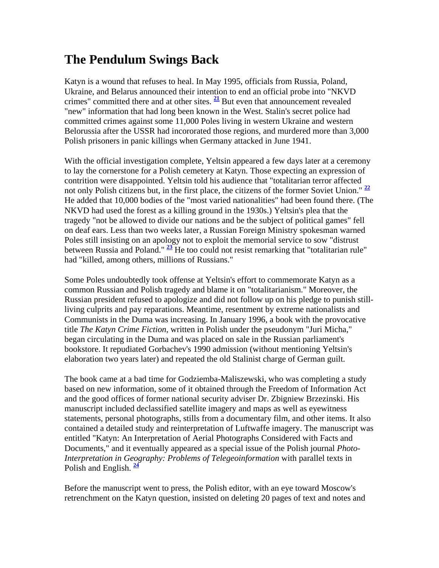#### **The Pendulum Swings Back**

Katyn is a wound that refuses to heal. In May 1995, officials from Russia, Poland, Ukraine, and Belarus announced their intention to end an official probe into "NKVD crimes" committed there and at other sites. **[21](http://www.odci.gov/csi/studies/winter99-00/art6.html#rft21#rft21)** But even that announcement revealed "new" information that had long been known in the West. Stalin's secret police had committed crimes against some 11,000 Poles living in western Ukraine and western Belorussia after the USSR had incororated those regions, and murdered more than 3,000 Polish prisoners in panic killings when Germany attacked in June 1941.

With the official investigation complete, Yeltsin appeared a few days later at a ceremony to lay the cornerstone for a Polish cemetery at Katyn. Those expecting an expression of contrition were disappointed. Yeltsin told his audience that "totalitarian terror affected not only Polish citizens but, in the first place, the citizens of the former Soviet Union." **[22](http://www.odci.gov/csi/studies/winter99-00/art6.html#rft22#rft22)** He added that 10,000 bodies of the "most varied nationalities" had been found there. (The NKVD had used the forest as a killing ground in the 1930s.) Yeltsin's plea that the tragedy "not be allowed to divide our nations and be the subject of political games" fell on deaf ears. Less than two weeks later, a Russian Foreign Ministry spokesman warned Poles still insisting on an apology not to exploit the memorial service to sow "distrust between Russia and Poland." **[23](http://www.odci.gov/csi/studies/winter99-00/art6.html#rft23#rft23)** He too could not resist remarking that "totalitarian rule" had "killed, among others, millions of Russians."

Some Poles undoubtedly took offense at Yeltsin's effort to commemorate Katyn as a common Russian and Polish tragedy and blame it on "totalitarianism." Moreover, the Russian president refused to apologize and did not follow up on his pledge to punish stillliving culprits and pay reparations. Meantime, resentment by extreme nationalists and Communists in the Duma was increasing. In January 1996, a book with the provocative title *The Katyn Crime Fiction*, written in Polish under the pseudonym "Juri Micha," began circulating in the Duma and was placed on sale in the Russian parliament's bookstore. It repudiated Gorbachev's 1990 admission (without mentioning Yeltsin's elaboration two years later) and repeated the old Stalinist charge of German guilt.

The book came at a bad time for Godziemba-Maliszewski, who was completing a study based on new information, some of it obtained through the Freedom of Information Act and the good offices of former national security adviser Dr. Zbigniew Brzezinski. His manuscript included declassified satellite imagery and maps as well as eyewitness statements, personal photographs, stills from a documentary film, and other items. It also contained a detailed study and reinterpretation of Luftwaffe imagery. The manuscript was entitled "Katyn: An Interpretation of Aerial Photographs Considered with Facts and Documents," and it eventually appeared as a special issue of the Polish journal *Photo-Interpretation in Geography: Problems of Telegeoinformation* with parallel texts in Polish and English. **[24](http://www.odci.gov/csi/studies/winter99-00/art6.html#rft24#rft24)**

Before the manuscript went to press, the Polish editor, with an eye toward Moscow's retrenchment on the Katyn question, insisted on deleting 20 pages of text and notes and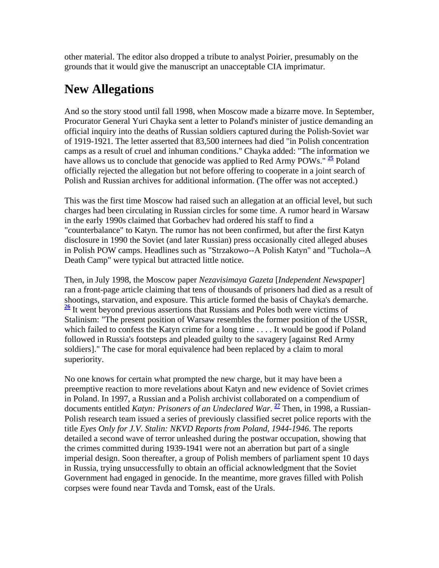other material. The editor also dropped a tribute to analyst Poirier, presumably on the grounds that it would give the manuscript an unacceptable CIA imprimatur.

### **New Allegations**

And so the story stood until fall 1998, when Moscow made a bizarre move. In September, Procurator General Yuri Chayka sent a letter to Poland's minister of justice demanding an official inquiry into the deaths of Russian soldiers captured during the Polish-Soviet war of 1919-1921. The letter asserted that 83,500 internees had died "in Polish concentration camps as a result of cruel and inhuman conditions." Chayka added: "The information we have allows us to conclude that genocide was applied to Red Army POWs." **[25](http://www.odci.gov/csi/studies/winter99-00/art6.html#rft25#rft25)** Poland officially rejected the allegation but not before offering to cooperate in a joint search of Polish and Russian archives for additional information. (The offer was not accepted.)

This was the first time Moscow had raised such an allegation at an official level, but such charges had been circulating in Russian circles for some time. A rumor heard in Warsaw in the early 1990s claimed that Gorbachev had ordered his staff to find a "counterbalance" to Katyn. The rumor has not been confirmed, but after the first Katyn disclosure in 1990 the Soviet (and later Russian) press occasionally cited alleged abuses in Polish POW camps. Headlines such as "Strzakowo--A Polish Katyn" and "Tuchola--A Death Camp" were typical but attracted little notice.

Then, in July 1998, the Moscow paper *Nezavisimaya Gazeta* [*Independent Newspaper*] ran a front-page article claiming that tens of thousands of prisoners had died as a result of shootings, starvation, and exposure. This article formed the basis of Chayka's demarche. **[26](http://www.odci.gov/csi/studies/winter99-00/art6.html#rft26#rft26)** It went beyond previous assertions that Russians and Poles both were victims of Stalinism: "The present position of Warsaw resembles the former position of the USSR, which failed to confess the Katyn crime for a long time . . . . It would be good if Poland followed in Russia's footsteps and pleaded guilty to the savagery [against Red Army soldiers]." The case for moral equivalence had been replaced by a claim to moral superiority.

No one knows for certain what prompted the new charge, but it may have been a preemptive reaction to more revelations about Katyn and new evidence of Soviet crimes in Poland. In 1997, a Russian and a Polish archivist collaborated on a compendium of documents entitled *Katyn: Prisoners of an Undeclared War*. **[27](http://www.odci.gov/csi/studies/winter99-00/art6.html#rft27#rft27)** Then, in 1998, a Russian-Polish research team issued a series of previously classified secret police reports with the title *Eyes Only for J.V. Stalin: NKVD Reports from Poland, 1944-1946*. The reports detailed a second wave of terror unleashed during the postwar occupation, showing that the crimes committed during 1939-1941 were not an aberration but part of a single imperial design. Soon thereafter, a group of Polish members of parliament spent 10 days in Russia, trying unsuccessfully to obtain an official acknowledgment that the Soviet Government had engaged in genocide. In the meantime, more graves filled with Polish corpses were found near Tavda and Tomsk, east of the Urals.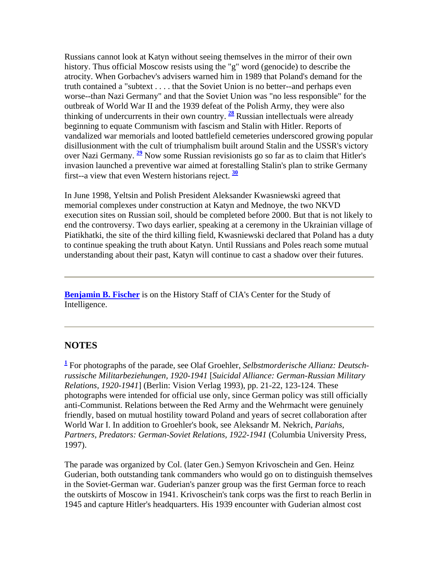Russians cannot look at Katyn without seeing themselves in the mirror of their own history. Thus official Moscow resists using the "g" word (genocide) to describe the atrocity. When Gorbachev's advisers warned him in 1989 that Poland's demand for the truth contained a "subtext . . . . that the Soviet Union is no better--and perhaps even worse--than Nazi Germany" and that the Soviet Union was "no less responsible" for the outbreak of World War II and the 1939 defeat of the Polish Army, they were also thinking of undercurrents in their own country. **[28](http://www.odci.gov/csi/studies/winter99-00/art6.html#rft28#rft28)** Russian intellectuals were already beginning to equate Communism with fascism and Stalin with Hitler. Reports of vandalized war memorials and looted battlefield cemeteries underscored growing popular disillusionment with the cult of triumphalism built around Stalin and the USSR's victory over Nazi Germany. **[29](http://www.odci.gov/csi/studies/winter99-00/art6.html#rft29#rft29)** Now some Russian revisionists go so far as to claim that Hitler's invasion launched a preventive war aimed at forestalling Stalin's plan to strike Germany first--a view that even Western historians reject. **[30](http://www.odci.gov/csi/studies/winter99-00/art6.html#rft30#rft30)**

In June 1998, Yeltsin and Polish President Aleksander Kwasniewski agreed that memorial complexes under construction at Katyn and Mednoye, the two NKVD execution sites on Russian soil, should be completed before 2000. But that is not likely to end the controversy. Two days earlier, speaking at a ceremony in the Ukrainian village of Piatikhatki, the site of the third killing field, Kwasniewski declared that Poland has a duty to continue speaking the truth about Katyn. Until Russians and Poles reach some mutual understanding about their past, Katyn will continue to cast a shadow over their futures.

**[Benjamin B. Fischer](http://www.odci.gov/csi/studies/winter99-00/art6.html#ft0#ft0)** is on the History Staff of CIA's Center for the Study of Intelligence.

#### **NOTES**

**[1](http://www.odci.gov/csi/studies/winter99-00/art6.html#ft1#ft1)** For photographs of the parade, see Olaf Groehler, *Selbstmorderische Allianz: Deutschrussische Militarbeziehungen, 1920-1941* [*Suicidal Alliance: German-Russian Military Relations, 1920-1941*] (Berlin: Vision Verlag 1993), pp. 21-22, 123-124. These photographs were intended for official use only, since German policy was still officially anti-Communist. Relations between the Red Army and the Wehrmacht were genuinely friendly, based on mutual hostility toward Poland and years of secret collaboration after World War I. In addition to Groehler's book, see Aleksandr M. Nekrich, *Pariahs, Partners, Predators: German-Soviet Relations, 1922-1941* (Columbia University Press, 1997).

The parade was organized by Col. (later Gen.) Semyon Krivoschein and Gen. Heinz Guderian, both outstanding tank commanders who would go on to distinguish themselves in the Soviet-German war. Guderian's panzer group was the first German force to reach the outskirts of Moscow in 1941. Krivoschein's tank corps was the first to reach Berlin in 1945 and capture Hitler's headquarters. His 1939 encounter with Guderian almost cost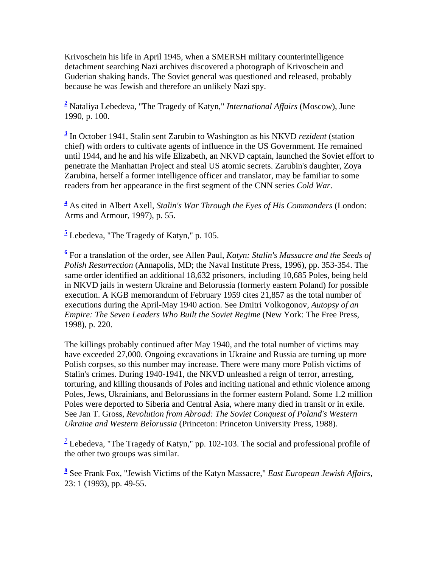Krivoschein his life in April 1945, when a SMERSH military counterintelligence detachment searching Nazi archives discovered a photograph of Krivoschein and Guderian shaking hands. The Soviet general was questioned and released, probably because he was Jewish and therefore an unlikely Nazi spy.

**[2](http://www.odci.gov/csi/studies/winter99-00/art6.html#ft2#ft2)** Nataliya Lebedeva, "The Tragedy of Katyn," *International Affairs* (Moscow), June 1990, p. 100.

**[3](http://www.odci.gov/csi/studies/winter99-00/art6.html#ft3#ft3)** In October 1941, Stalin sent Zarubin to Washington as his NKVD *rezident* (station chief) with orders to cultivate agents of influence in the US Government. He remained until 1944, and he and his wife Elizabeth, an NKVD captain, launched the Soviet effort to penetrate the Manhattan Project and steal US atomic secrets. Zarubin's daughter, Zoya Zarubina, herself a former intelligence officer and translator, may be familiar to some readers from her appearance in the first segment of the CNN series *Cold War*.

**[4](http://www.odci.gov/csi/studies/winter99-00/art6.html#ft4#ft4)** As cited in Albert Axell, *Stalin's War Through the Eyes of His Commanders* (London: Arms and Armour, 1997), p. 55.

**[5](http://www.odci.gov/csi/studies/winter99-00/art6.html#ft5#ft5)** Lebedeva, "The Tragedy of Katyn," p. 105.

**[6](http://www.odci.gov/csi/studies/winter99-00/art6.html#ft6#ft6)** For a translation of the order, see Allen Paul, *Katyn: Stalin's Massacre and the Seeds of Polish Resurrection* (Annapolis, MD; the Naval Institute Press, 1996), pp. 353-354. The same order identified an additional 18,632 prisoners, including 10,685 Poles, being held in NKVD jails in western Ukraine and Belorussia (formerly eastern Poland) for possible execution. A KGB memorandum of February 1959 cites 21,857 as the total number of executions during the April-May 1940 action. See Dmitri Volkogonov, *Autopsy of an Empire: The Seven Leaders Who Built the Soviet Regime* (New York: The Free Press, 1998), p. 220.

The killings probably continued after May 1940, and the total number of victims may have exceeded 27,000. Ongoing excavations in Ukraine and Russia are turning up more Polish corpses, so this number may increase. There were many more Polish victims of Stalin's crimes. During 1940-1941, the NKVD unleashed a reign of terror, arresting, torturing, and killing thousands of Poles and inciting national and ethnic violence among Poles, Jews, Ukrainians, and Belorussians in the former eastern Poland. Some 1.2 million Poles were deported to Siberia and Central Asia, where many died in transit or in exile. See Jan T. Gross, *Revolution from Abroad: The Soviet Conquest of Poland's Western Ukraine and Western Belorussia* (Princeton: Princeton University Press, 1988).

<sup>[7](http://www.odci.gov/csi/studies/winter99-00/art6.html#ft7#ft7)</sup> Lebedeva, "The Tragedy of Katyn," pp. 102-103. The social and professional profile of the other two groups was similar.

**[8](http://www.odci.gov/csi/studies/winter99-00/art6.html#ft8#ft8)** See Frank Fox, "Jewish Victims of the Katyn Massacre," *East European Jewish Affairs,* 23: 1 (1993), pp. 49-55.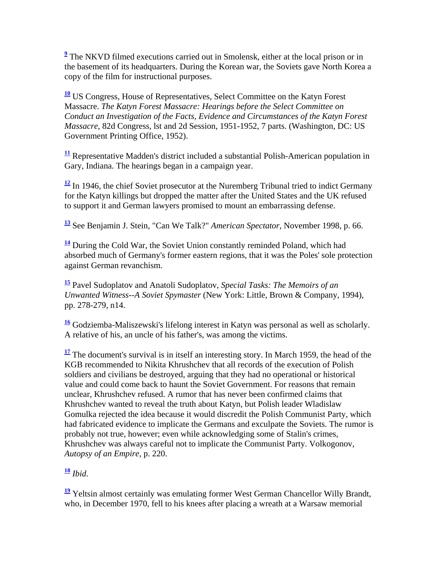<sup>2</sup> The NKVD filmed executions carried out in Smolensk, either at the local prison or in the basement of its headquarters. During the Korean war, the Soviets gave North Korea a copy of the film for instructional purposes.

**[10](http://www.odci.gov/csi/studies/winter99-00/art6.html#ft10#ft10)** US Congress, House of Representatives, Select Committee on the Katyn Forest Massacre. *The Katyn Forest Massacre: Hearings before the Select Committee on Conduct an Investigation of the Facts, Evidence and Circumstances of the Katyn Forest Massacre*, 82d Congress, lst and 2d Session, 1951-1952, 7 parts. (Washington, DC: US Government Printing Office, 1952).

**[11](http://www.odci.gov/csi/studies/winter99-00/art6.html#ft11#ft11)** Representative Madden's district included a substantial Polish-American population in Gary, Indiana. The hearings began in a campaign year.

<sup>[12](http://www.odci.gov/csi/studies/winter99-00/art6.html#ft12#ft12)</sup> In 1946, the chief Soviet prosecutor at the Nuremberg Tribunal tried to indict Germany for the Katyn killings but dropped the matter after the United States and the UK refused to support it and German lawyers promised to mount an embarrassing defense.

**[13](http://www.odci.gov/csi/studies/winter99-00/art6.html#ft13#ft13)** See Benjamin J. Stein, "Can We Talk?" *American Spectator*, November 1998, p. 66.

**[14](http://www.odci.gov/csi/studies/winter99-00/art6.html#ft14#ft14)** During the Cold War, the Soviet Union constantly reminded Poland, which had absorbed much of Germany's former eastern regions, that it was the Poles' sole protection against German revanchism.

**[15](http://www.odci.gov/csi/studies/winter99-00/art6.html#ft15#ft15)** Pavel Sudoplatov and Anatoli Sudoplatov, *Special Tasks: The Memoirs of an Unwanted Witness--A Soviet Spymaster* (New York: Little, Brown & Company, 1994), pp. 278-279, n14.

**[16](http://www.odci.gov/csi/studies/winter99-00/art6.html#ft16#ft16)** Godziemba-Maliszewski's lifelong interest in Katyn was personal as well as scholarly. A relative of his, an uncle of his father's, was among the victims.

 $\frac{17}{12}$  $\frac{17}{12}$  $\frac{17}{12}$  The document's survival is in itself an interesting story. In March 1959, the head of the KGB recommended to Nikita Khrushchev that all records of the execution of Polish soldiers and civilians be destroyed, arguing that they had no operational or historical value and could come back to haunt the Soviet Government. For reasons that remain unclear, Khrushchev refused. A rumor that has never been confirmed claims that Khrushchev wanted to reveal the truth about Katyn, but Polish leader Wladislaw Gomulka rejected the idea because it would discredit the Polish Communist Party, which had fabricated evidence to implicate the Germans and exculpate the Soviets. The rumor is probably not true, however; even while acknowledging some of Stalin's crimes, Khrushchev was always careful not to implicate the Communist Party. Volkogonov, *Autopsy of an Empire*, p. 220.

**[18](http://www.odci.gov/csi/studies/winter99-00/art6.html#ft18#ft18)** *Ibid*.

<sup>[19](http://www.odci.gov/csi/studies/winter99-00/art6.html#ft19#ft19)</sup> Yeltsin almost certainly was emulating former West German Chancellor Willy Brandt, who, in December 1970, fell to his knees after placing a wreath at a Warsaw memorial